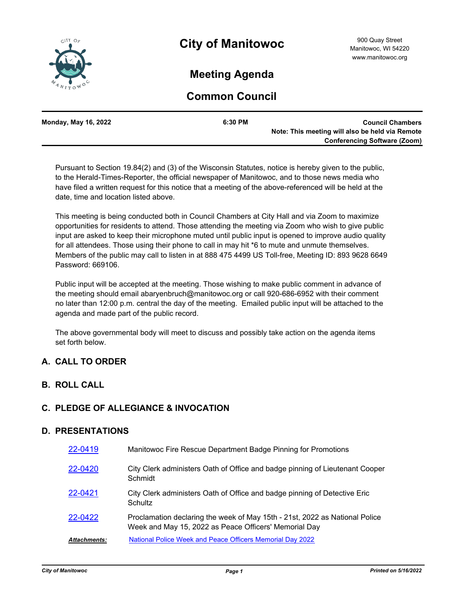

# **Meeting Agenda**

## **Common Council**

| Monday, May 16, 2022 | 6:30 PM | <b>Council Chambers</b>                         |
|----------------------|---------|-------------------------------------------------|
|                      |         | Note: This meeting will also be held via Remote |
|                      |         | <b>Conferencing Software (Zoom)</b>             |

Pursuant to Section 19.84(2) and (3) of the Wisconsin Statutes, notice is hereby given to the public, to the Herald-Times-Reporter, the official newspaper of Manitowoc, and to those news media who have filed a written request for this notice that a meeting of the above-referenced will be held at the date, time and location listed above.

This meeting is being conducted both in Council Chambers at City Hall and via Zoom to maximize opportunities for residents to attend. Those attending the meeting via Zoom who wish to give public input are asked to keep their microphone muted until public input is opened to improve audio quality for all attendees. Those using their phone to call in may hit \*6 to mute and unmute themselves. Members of the public may call to listen in at 888 475 4499 US Toll-free, Meeting ID: 893 9628 6649 Password: 669106.

Public input will be accepted at the meeting. Those wishing to make public comment in advance of the meeting should email abaryenbruch@manitowoc.org or call 920-686-6952 with their comment no later than 12:00 p.m. central the day of the meeting. Emailed public input will be attached to the agenda and made part of the public record.

The above governmental body will meet to discuss and possibly take action on the agenda items set forth below.

## **A. CALL TO ORDER**

## **B. ROLL CALL**

### **C. PLEDGE OF ALLEGIANCE & INVOCATION**

### **D. PRESENTATIONS**

| 22-0419             | Manitowoc Fire Rescue Department Badge Pinning for Promotions                                                                        |
|---------------------|--------------------------------------------------------------------------------------------------------------------------------------|
| 22-0420             | City Clerk administers Oath of Office and badge pinning of Lieutenant Cooper<br>Schmidt                                              |
| 22-0421             | City Clerk administers Oath of Office and badge pinning of Detective Eric<br>Schultz                                                 |
| 22-0422             | Proclamation declaring the week of May 15th - 21st, 2022 as National Police<br>Week and May 15, 2022 as Peace Officers' Memorial Day |
| <b>Attachments:</b> | <b>National Police Week and Peace Officers Memorial Day 2022</b>                                                                     |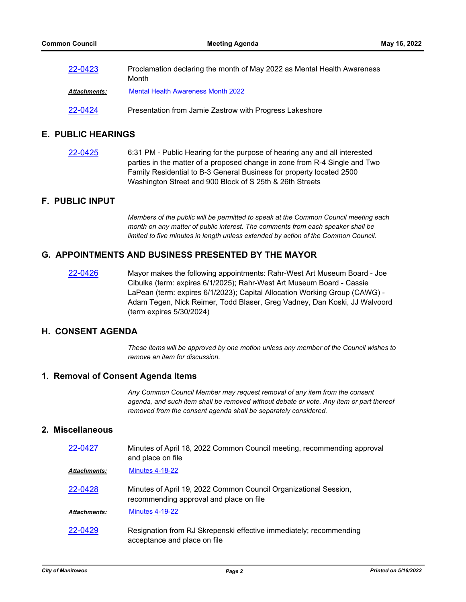| 22-0423             | Proclamation declaring the month of May 2022 as Mental Health Awareness<br>Month |
|---------------------|----------------------------------------------------------------------------------|
| <b>Attachments:</b> | <b>Mental Health Awareness Month 2022</b>                                        |
| 22-0424             | Presentation from Jamie Zastrow with Progress Lakeshore                          |

### **E. PUBLIC HEARINGS**

[22-0425](http://manitowoc.legistar.com/gateway.aspx?m=l&id=/matter.aspx?key=13193) 6:31 PM - Public Hearing for the purpose of hearing any and all interested parties in the matter of a proposed change in zone from R-4 Single and Two Family Residential to B-3 General Business for property located 2500 Washington Street and 900 Block of S 25th & 26th Streets

### **F. PUBLIC INPUT**

*Members of the public will be permitted to speak at the Common Council meeting each month on any matter of public interest. The comments from each speaker shall be limited to five minutes in length unless extended by action of the Common Council.*

### **G. APPOINTMENTS AND BUSINESS PRESENTED BY THE MAYOR**

[22-0426](http://manitowoc.legistar.com/gateway.aspx?m=l&id=/matter.aspx?key=13194) Mayor makes the following appointments: Rahr-West Art Museum Board - Joe Cibulka (term: expires 6/1/2025); Rahr-West Art Museum Board - Cassie LaPean (term: expires 6/1/2023); Capital Allocation Working Group (CAWG) - Adam Tegen, Nick Reimer, Todd Blaser, Greg Vadney, Dan Koski, JJ Walvoord (term expires 5/30/2024)

#### **H. CONSENT AGENDA**

*These items will be approved by one motion unless any member of the Council wishes to remove an item for discussion.*

### **1. Removal of Consent Agenda Items**

*Any Common Council Member may request removal of any item from the consent agenda, and such item shall be removed without debate or vote. Any item or part thereof removed from the consent agenda shall be separately considered.*

#### **2. Miscellaneous**

| 22-0427             | Minutes of April 18, 2022 Common Council meeting, recommending approval<br>and place on file                |
|---------------------|-------------------------------------------------------------------------------------------------------------|
| <b>Attachments:</b> | <b>Minutes 4-18-22</b>                                                                                      |
| 22-0428             | Minutes of April 19, 2022 Common Council Organizational Session,<br>recommending approval and place on file |
| <b>Attachments:</b> | <b>Minutes 4-19-22</b>                                                                                      |
| 22-0429             | Resignation from RJ Skrepenski effective immediately; recommending<br>acceptance and place on file          |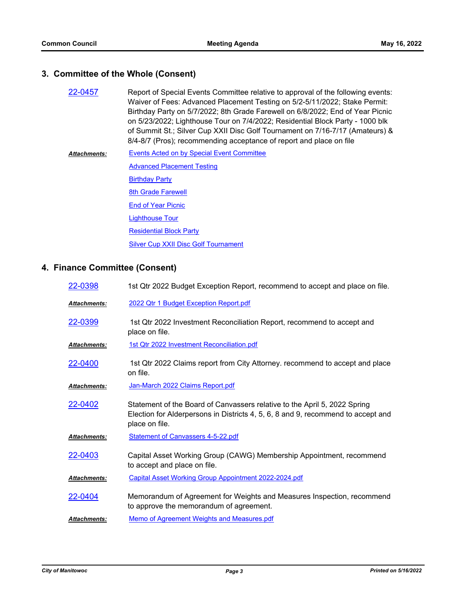## **3. Committee of the Whole (Consent)**

| 22-0457 | Report of Special Events Committee relative to approval of the following events:<br>Waiver of Fees: Advanced Placement Testing on 5/2-5/11/2022; Stake Permit: |
|---------|----------------------------------------------------------------------------------------------------------------------------------------------------------------|
|         | Birthday Party on 5/7/2022; 8th Grade Farewell on 6/8/2022; End of Year Picnic                                                                                 |
|         | on 5/23/2022; Lighthouse Tour on 7/4/2022; Residential Block Party - 1000 blk                                                                                  |
|         | of Summit St.; Silver Cup XXII Disc Golf Tournament on 7/16-7/17 (Amateurs) &                                                                                  |
|         | 8/4-8/7 (Pros); recommending acceptance of report and place on file                                                                                            |

[Events Acted on by Special Event Committee](http://manitowoc.legistar.com/gateway.aspx?M=F&ID=7018cbb5-c961-486a-b5ea-c75f80c89eec.pdf) [Advanced Placement Testing](http://manitowoc.legistar.com/gateway.aspx?M=F&ID=dc328d2a-ba82-4eb6-9c58-b34e760c457e.pdf) **[Birthday Party](http://manitowoc.legistar.com/gateway.aspx?M=F&ID=3d656a3c-089e-4c44-8ff4-789dd7d2cafd.pdf) [8th Grade Farewell](http://manitowoc.legistar.com/gateway.aspx?M=F&ID=5d935d08-df16-4fe7-8f60-ea65e54c08c0.pdf) [End of Year Picnic](http://manitowoc.legistar.com/gateway.aspx?M=F&ID=3e04b4dd-6e16-4764-ab28-48ad80d5d702.pdf)** [Lighthouse Tour](http://manitowoc.legistar.com/gateway.aspx?M=F&ID=3a433e44-2034-42db-91e1-56f198056838.pdf) [Residential Block Party](http://manitowoc.legistar.com/gateway.aspx?M=F&ID=b85e5cdf-7ed4-4176-810f-9d86dc36fb7c.pdf) **[Silver Cup XXII Disc Golf Tournament](http://manitowoc.legistar.com/gateway.aspx?M=F&ID=ec97c784-0826-4622-95c6-0d9987502be2.pdf)** *Attachments:*

## **4. Finance Committee (Consent)**

| 22-0398             | 1st Qtr 2022 Budget Exception Report, recommend to accept and place on file.                                                                                                    |
|---------------------|---------------------------------------------------------------------------------------------------------------------------------------------------------------------------------|
| Attachments:        | 2022 Qtr 1 Budget Exception Report.pdf                                                                                                                                          |
| 22-0399             | 1st Qtr 2022 Investment Reconciliation Report, recommend to accept and<br>place on file.                                                                                        |
| Attachments:        | 1st Qtr 2022 Investment Reconciliation.pdf                                                                                                                                      |
| 22-0400             | 1st Qtr 2022 Claims report from City Attorney. recommend to accept and place<br>on file.                                                                                        |
| Attachments:        | Jan-March 2022 Claims Report.pdf                                                                                                                                                |
| 22-0402             | Statement of the Board of Canvassers relative to the April 5, 2022 Spring<br>Election for Alderpersons in Districts 4, 5, 6, 8 and 9, recommend to accept and<br>place on file. |
| Attachments:        | <b>Statement of Canvassers 4-5-22.pdf</b>                                                                                                                                       |
| 22-0403             | Capital Asset Working Group (CAWG) Membership Appointment, recommend<br>to accept and place on file.                                                                            |
| <u>Attachments:</u> | Capital Asset Working Group Appointment 2022-2024.pdf                                                                                                                           |
| 22-0404             | Memorandum of Agreement for Weights and Measures Inspection, recommend<br>to approve the memorandum of agreement.                                                               |
| Attachments:        | Memo of Agreement Weights and Measures.pdf                                                                                                                                      |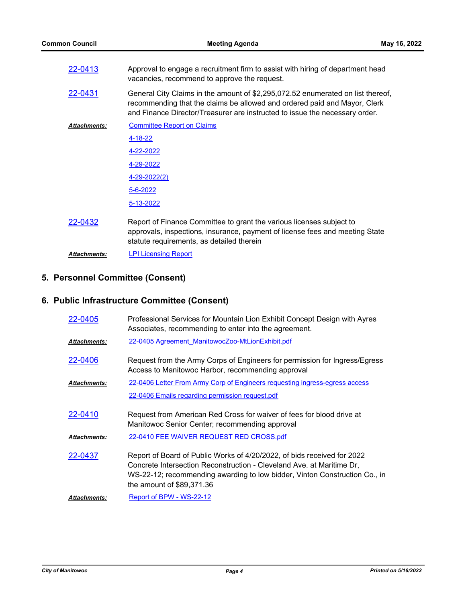| 22-0413             | Approval to engage a recruitment firm to assist with hiring of department head<br>vacancies, recommend to approve the request.                                                                                                              |
|---------------------|---------------------------------------------------------------------------------------------------------------------------------------------------------------------------------------------------------------------------------------------|
| 22-0431             | General City Claims in the amount of \$2,295,072.52 enumerated on list thereof,<br>recommending that the claims be allowed and ordered paid and Mayor, Clerk<br>and Finance Director/Treasurer are instructed to issue the necessary order. |
| <b>Attachments:</b> | <b>Committee Report on Claims</b>                                                                                                                                                                                                           |
|                     | 4-18-22                                                                                                                                                                                                                                     |
|                     | 4-22-2022                                                                                                                                                                                                                                   |
|                     | 4-29-2022                                                                                                                                                                                                                                   |
|                     | 4-29-2022(2)                                                                                                                                                                                                                                |
|                     | 5-6-2022                                                                                                                                                                                                                                    |
|                     | 5-13-2022                                                                                                                                                                                                                                   |
| 22-0432             | Report of Finance Committee to grant the various licenses subject to<br>approvals, inspections, insurance, payment of license fees and meeting State<br>statute requirements, as detailed therein                                           |
| <b>Attachments:</b> | <b>LPI Licensing Report</b>                                                                                                                                                                                                                 |

## **5. Personnel Committee (Consent)**

## **6. Public Infrastructure Committee (Consent)**

| 22-0405             | Professional Services for Mountain Lion Exhibit Concept Design with Ayres<br>Associates, recommending to enter into the agreement.                                                                                                                           |
|---------------------|--------------------------------------------------------------------------------------------------------------------------------------------------------------------------------------------------------------------------------------------------------------|
| <b>Attachments:</b> | 22-0405 Agreement ManitowocZoo-MtLionExhibit.pdf                                                                                                                                                                                                             |
| 22-0406             | Request from the Army Corps of Engineers for permission for Ingress/Egress<br>Access to Manitowoc Harbor, recommending approval                                                                                                                              |
| <b>Attachments:</b> | 22-0406 Letter From Army Corp of Engineers requesting ingress-egress access                                                                                                                                                                                  |
|                     | 22-0406 Emails regarding permission request.pdf                                                                                                                                                                                                              |
| 22-0410             | Request from American Red Cross for waiver of fees for blood drive at<br>Manitowoc Senior Center; recommending approval                                                                                                                                      |
| <b>Attachments:</b> | 22-0410 FEE WAIVER REQUEST RED CROSS.pdf                                                                                                                                                                                                                     |
| 22-0437             | Report of Board of Public Works of 4/20/2022, of bids received for 2022<br>Concrete Intersection Reconstruction - Cleveland Ave. at Maritime Dr,<br>WS-22-12; recommending awarding to low bidder, Vinton Construction Co., in<br>the amount of $$89,371.36$ |
| <b>Attachments:</b> | Report of BPW - WS-22-12                                                                                                                                                                                                                                     |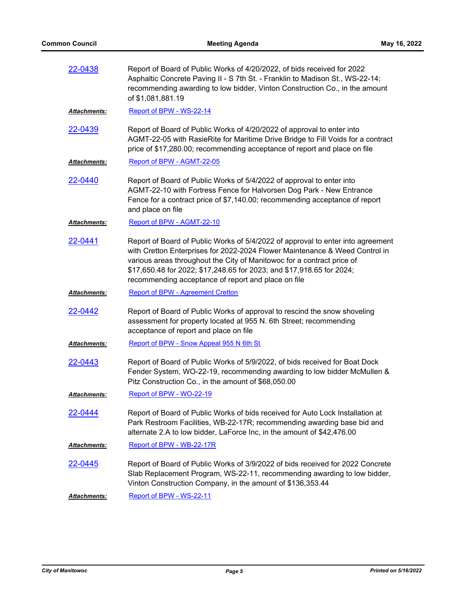| 22-0438             | Report of Board of Public Works of 4/20/2022, of bids received for 2022<br>Asphaltic Concrete Paving II - S 7th St. - Franklin to Madison St., WS-22-14;<br>recommending awarding to low bidder, Vinton Construction Co., in the amount<br>of \$1,081,881.19                                                                                                             |
|---------------------|--------------------------------------------------------------------------------------------------------------------------------------------------------------------------------------------------------------------------------------------------------------------------------------------------------------------------------------------------------------------------|
| <b>Attachments:</b> | Report of BPW - WS-22-14                                                                                                                                                                                                                                                                                                                                                 |
| 22-0439             | Report of Board of Public Works of 4/20/2022 of approval to enter into<br>AGMT-22-05 with RasieRite for Maritime Drive Bridge to Fill Voids for a contract<br>price of \$17,280.00; recommending acceptance of report and place on file                                                                                                                                  |
| <b>Attachments:</b> | Report of BPW - AGMT-22-05                                                                                                                                                                                                                                                                                                                                               |
| 22-0440             | Report of Board of Public Works of 5/4/2022 of approval to enter into<br>AGMT-22-10 with Fortress Fence for Halvorsen Dog Park - New Entrance<br>Fence for a contract price of \$7,140.00; recommending acceptance of report<br>and place on file                                                                                                                        |
| Attachments:        | Report of BPW - AGMT-22-10                                                                                                                                                                                                                                                                                                                                               |
| 22-0441             | Report of Board of Public Works of 5/4/2022 of approval to enter into agreement<br>with Cretton Enterprises for 2022-2024 Flower Maintenance & Weed Control in<br>various areas throughout the City of Manitowoc for a contract price of<br>\$17,650.48 for 2022; \$17,248.65 for 2023; and \$17,918.65 for 2024;<br>recommending acceptance of report and place on file |
| Attachments:        | <b>Report of BPW - Agreement Cretton</b>                                                                                                                                                                                                                                                                                                                                 |
| 22-0442             | Report of Board of Public Works of approval to rescind the snow shoveling<br>assessment for property located at 955 N. 6th Street; recommending<br>acceptance of report and place on file                                                                                                                                                                                |
| <b>Attachments:</b> | Report of BPW - Snow Appeal 955 N 6th St                                                                                                                                                                                                                                                                                                                                 |
| 22-0443             | Report of Board of Public Works of 5/9/2022, of bids received for Boat Dock<br>Fender System, WO-22-19, recommending awarding to low bidder McMullen &<br>Pitz Construction Co., in the amount of \$68,050.00                                                                                                                                                            |
| <b>Attachments:</b> | Report of BPW - WO-22-19                                                                                                                                                                                                                                                                                                                                                 |
| 22-0444             | Report of Board of Public Works of bids received for Auto Lock Installation at<br>Park Restroom Facilities, WB-22-17R; recommending awarding base bid and<br>alternate 2.A to low bidder, LaForce Inc, in the amount of \$42,476.00                                                                                                                                      |
| <b>Attachments:</b> | Report of BPW - WB-22-17R                                                                                                                                                                                                                                                                                                                                                |
| 22-0445             | Report of Board of Public Works of 3/9/2022 of bids received for 2022 Concrete<br>Slab Replacement Program, WS-22-11, recommending awarding to low bidder,<br>Vinton Construction Company, in the amount of \$136,353.44                                                                                                                                                 |
| <b>Attachments:</b> | Report of BPW - WS-22-11                                                                                                                                                                                                                                                                                                                                                 |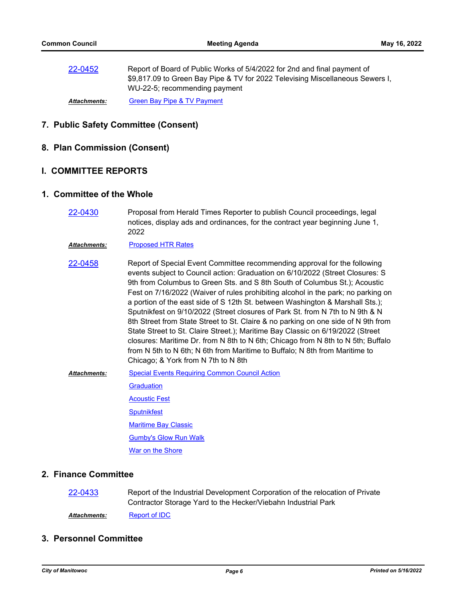[22-0452](http://manitowoc.legistar.com/gateway.aspx?m=l&id=/matter.aspx?key=13221) Report of Board of Public Works of 5/4/2022 for 2nd and final payment of \$9,817.09 to Green Bay Pipe & TV for 2022 Televising Miscellaneous Sewers I, WU-22-5; recommending payment

*Attachments:* [Green Bay Pipe & TV Payment](http://manitowoc.legistar.com/gateway.aspx?M=F&ID=286e48c7-d958-454b-9a9e-8938ee1ed47d.pdf)

### **7. Public Safety Committee (Consent)**

**8. Plan Commission (Consent)**

#### **I. COMMITTEE REPORTS**

#### **1. Committee of the Whole**

[22-0430](http://manitowoc.legistar.com/gateway.aspx?m=l&id=/matter.aspx?key=13198) Proposal from Herald Times Reporter to publish Council proceedings, legal notices, display ads and ordinances, for the contract year beginning June 1, 2022

*Attachments:* [Proposed HTR Rates](http://manitowoc.legistar.com/gateway.aspx?M=F&ID=875182c6-eacf-48a8-9e19-8b67c1e0cf8b.pdf)

- [22-0458](http://manitowoc.legistar.com/gateway.aspx?m=l&id=/matter.aspx?key=13227) Report of Special Event Committee recommending approval for the following events subject to Council action: Graduation on 6/10/2022 (Street Closures: S 9th from Columbus to Green Sts. and S 8th South of Columbus St.); Acoustic Fest on 7/16/2022 (Waiver of rules prohibiting alcohol in the park; no parking on a portion of the east side of S 12th St. between Washington & Marshall Sts.); Sputnikfest on 9/10/2022 (Street closures of Park St. from N 7th to N 9th & N 8th Street from State Street to St. Claire & no parking on one side of N 9th from State Street to St. Claire Street.); Maritime Bay Classic on 6/19/2022 (Street closures: Maritime Dr. from N 8th to N 6th; Chicago from N 8th to N 5th; Buffalo from N 5th to N 6th; N 6th from Maritime to Buffalo; N 8th from Maritime to Chicago; & York from N 7th to N 8th
- [Special Events Requiring Common Council Action](http://manitowoc.legistar.com/gateway.aspx?M=F&ID=83d687dd-86c5-48b9-85a5-ab27b610d963.pdf) **[Graduation](http://manitowoc.legistar.com/gateway.aspx?M=F&ID=c0c6506c-bbb9-4a95-a760-efd6c148c451.pdf)** [Acoustic Fest](http://manitowoc.legistar.com/gateway.aspx?M=F&ID=cfb8a7f4-a578-4d9b-8e70-1f15b1da064b.pdf) **[Sputnikfest](http://manitowoc.legistar.com/gateway.aspx?M=F&ID=979893a6-d04d-4398-bcc8-465b2e2d8ea5.pdf)** [Maritime Bay Classic](http://manitowoc.legistar.com/gateway.aspx?M=F&ID=95a1c29f-052a-4dbd-bd28-5c7a3fa8c9ad.pdf) [Gumby's Glow Run Walk](http://manitowoc.legistar.com/gateway.aspx?M=F&ID=ae245b77-1171-46df-a8a3-bf836b60ef28.pdf) [War on the Shore](http://manitowoc.legistar.com/gateway.aspx?M=F&ID=923447cd-6954-4dbc-9ab1-2d3c2a5cb71d.pdf) *Attachments:*

### **2. Finance Committee**

[22-0433](http://manitowoc.legistar.com/gateway.aspx?m=l&id=/matter.aspx?key=13201) Report of the Industrial Development Corporation of the relocation of Private Contractor Storage Yard to the Hecker/Viebahn Industrial Park

Attachments: [Report of IDC](http://manitowoc.legistar.com/gateway.aspx?M=F&ID=889399a4-71ef-49f3-9358-0bb31306a53b.pdf)

### **3. Personnel Committee**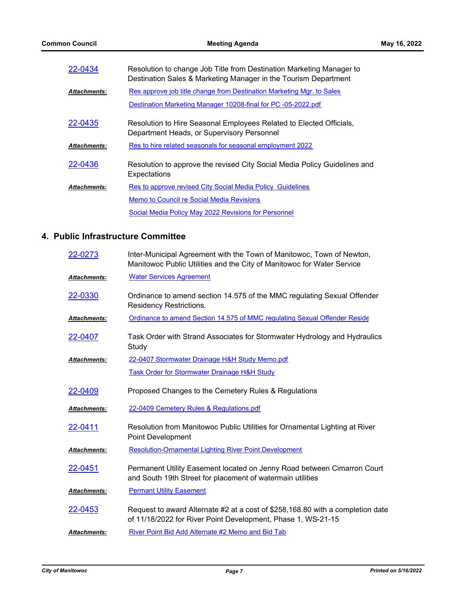| 22-0434             | Resolution to change Job Title from Destination Marketing Manager to<br>Destination Sales & Marketing Manager in the Tourism Department |
|---------------------|-----------------------------------------------------------------------------------------------------------------------------------------|
| <b>Attachments:</b> | Res approve job title change from Destination Marketing Mgr. to Sales                                                                   |
|                     | Destination Marketing Manager 10208-final for PC -05-2022.pdf                                                                           |
| 22-0435             | Resolution to Hire Seasonal Employees Related to Elected Officials,<br>Department Heads, or Supervisory Personnel                       |
| <b>Attachments:</b> | Res to hire related seasonals for seasonal employment 2022                                                                              |
| 22-0436             | Resolution to approve the revised City Social Media Policy Guidelines and<br>Expectations                                               |
| <b>Attachments:</b> | Res to approve revised City Social Media Policy Guidelines                                                                              |
|                     | Memo to Council re Social Media Revisions                                                                                               |
|                     | Social Media Policy May 2022 Revisions for Personnel                                                                                    |

## **4. Public Infrastructure Committee**

| 22-0273             | Inter-Municipal Agreement with the Town of Manitowoc, Town of Newton,<br>Manitowoc Public Utilities and the City of Manitowoc for Water Service |
|---------------------|-------------------------------------------------------------------------------------------------------------------------------------------------|
| <b>Attachments:</b> | <b>Water Services Agreement</b>                                                                                                                 |
| 22-0330             | Ordinance to amend section 14.575 of the MMC regulating Sexual Offender<br><b>Residency Restrictions.</b>                                       |
| <b>Attachments:</b> | Ordinance to amend Section 14.575 of MMC regulating Sexual Offender Reside                                                                      |
| 22-0407             | Task Order with Strand Associates for Stormwater Hydrology and Hydraulics<br>Study                                                              |
| <b>Attachments:</b> | 22-0407 Stormwater Drainage H&H Study Memo.pdf                                                                                                  |
|                     | <b>Task Order for Stormwater Drainage H&amp;H Study</b>                                                                                         |
| 22-0409             | Proposed Changes to the Cemetery Rules & Regulations                                                                                            |
| <b>Attachments:</b> | 22-0409 Cemetery Rules & Regulations.pdf                                                                                                        |
| 22-0411             | Resolution from Manitowoc Public Utilities for Ornamental Lighting at River<br>Point Development                                                |
| Attachments:        | <b>Resolution-Ornamental Lighting River Point Development</b>                                                                                   |
| 22-0451             | Permanent Utility Easement located on Jenny Road between Cimarron Court<br>and South 19th Street for placement of watermain utilities           |
| <b>Attachments:</b> | <b>Permant Utility Easement</b>                                                                                                                 |
| 22-0453             | Request to award Alternate #2 at a cost of \$258,168.80 with a completion date<br>of 11/18/2022 for River Point Development, Phase 1, WS-21-15  |
| <b>Attachments:</b> | River Point Bid Add Alternate #2 Memo and Bid Tab                                                                                               |